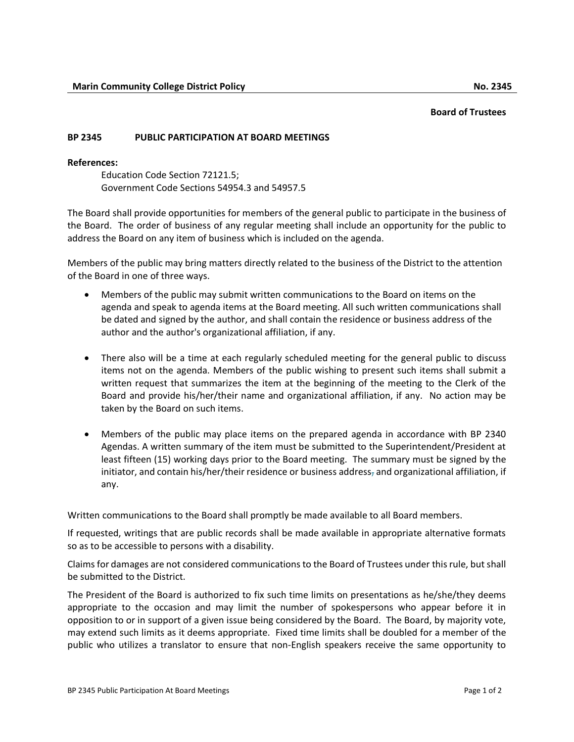## **Board of Trustees**

## **BP 2345 PUBLIC PARTICIPATION AT BOARD MEETINGS**

## **References:**

Education Code Section 72121.5; Government Code Sections 54954.3 and 54957.5

The Board shall provide opportunities for members of the general public to participate in the business of the Board. The order of business of any regular meeting shall include an opportunity for the public to address the Board on any item of business which is included on the agenda.

Members of the public may bring matters directly related to the business of the District to the attention of the Board in one of three ways.

- Members of the public may submit written communications to the Board on items on the agenda and speak to agenda items at the Board meeting. All such written communications shall be dated and signed by the author, and shall contain the residence or business address of the author and the author's organizational affiliation, if any.
- There also will be a time at each regularly scheduled meeting for the general public to discuss items not on the agenda. Members of the public wishing to present such items shall submit a written request that summarizes the item at the beginning of the meeting to the Clerk of the Board and provide his/her/their name and organizational affiliation, if any. No action may be taken by the Board on such items.
- Members of the public may place items on the prepared agenda in accordance with BP 2340 Agendas. A written summary of the item must be submitted to the Superintendent/President at least fifteen (15) working days prior to the Board meeting. The summary must be signed by the initiator, and contain his/her/their residence or business address-and organizational affiliation, if any.

Written communications to the Board shall promptly be made available to all Board members.

If requested, writings that are public records shall be made available in appropriate alternative formats so as to be accessible to persons with a disability.

Claims for damages are not considered communications to the Board of Trustees under this rule, but shall be submitted to the District.

The President of the Board is authorized to fix such time limits on presentations as he/she/they deems appropriate to the occasion and may limit the number of spokespersons who appear before it in opposition to or in support of a given issue being considered by the Board. The Board, by majority vote, may extend such limits as it deems appropriate. Fixed time limits shall be doubled for a member of the public who utilizes a translator to ensure that non-English speakers receive the same opportunity to